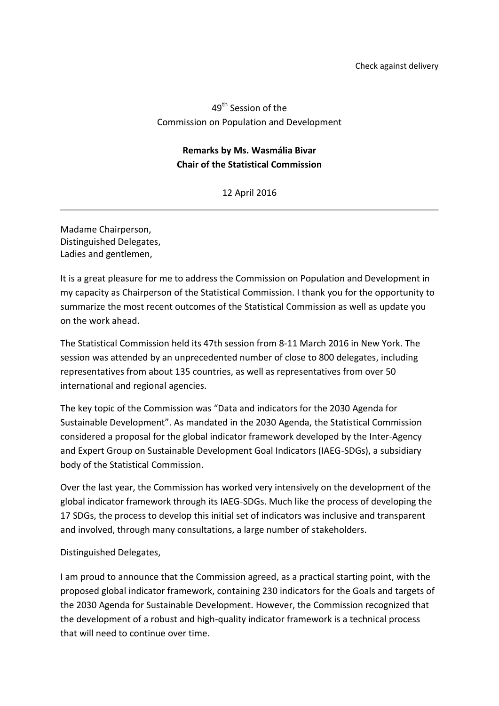## 49<sup>th</sup> Session of the Commission on Population and Development

## **Remarks by Ms. Wasmália Bivar Chair of the Statistical Commission**

## 12 April 2016

Madame Chairperson, Distinguished Delegates, Ladies and gentlemen,

It is a great pleasure for me to address the Commission on Population and Development in my capacity as Chairperson of the Statistical Commission. I thank you for the opportunity to summarize the most recent outcomes of the Statistical Commission as well as update you on the work ahead.

The Statistical Commission held its 47th session from 8-11 March 2016 in New York. The session was attended by an unprecedented number of close to 800 delegates, including representatives from about 135 countries, as well as representatives from over 50 international and regional agencies.

The key topic of the Commission was "Data and indicators for the 2030 Agenda for Sustainable Development". As mandated in the 2030 Agenda, the Statistical Commission considered a proposal for the global indicator framework developed by the Inter-Agency and Expert Group on Sustainable Development Goal Indicators (IAEG-SDGs), a subsidiary body of the Statistical Commission.

Over the last year, the Commission has worked very intensively on the development of the global indicator framework through its IAEG-SDGs. Much like the process of developing the 17 SDGs, the process to develop this initial set of indicators was inclusive and transparent and involved, through many consultations, a large number of stakeholders.

## Distinguished Delegates,

I am proud to announce that the Commission agreed, as a practical starting point, with the proposed global indicator framework, containing 230 indicators for the Goals and targets of the 2030 Agenda for Sustainable Development. However, the Commission recognized that the development of a robust and high-quality indicator framework is a technical process that will need to continue over time.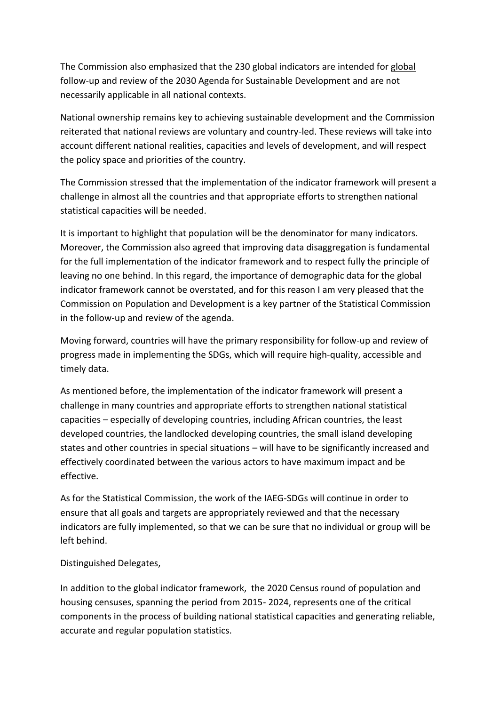The Commission also emphasized that the 230 global indicators are intended for global follow-up and review of the 2030 Agenda for Sustainable Development and are not necessarily applicable in all national contexts.

National ownership remains key to achieving sustainable development and the Commission reiterated that national reviews are voluntary and country-led. These reviews will take into account different national realities, capacities and levels of development, and will respect the policy space and priorities of the country.

The Commission stressed that the implementation of the indicator framework will present a challenge in almost all the countries and that appropriate efforts to strengthen national statistical capacities will be needed.

It is important to highlight that population will be the denominator for many indicators. Moreover, the Commission also agreed that improving data disaggregation is fundamental for the full implementation of the indicator framework and to respect fully the principle of leaving no one behind. In this regard, the importance of demographic data for the global indicator framework cannot be overstated, and for this reason I am very pleased that the Commission on Population and Development is a key partner of the Statistical Commission in the follow-up and review of the agenda.

Moving forward, countries will have the primary responsibility for follow-up and review of progress made in implementing the SDGs, which will require high-quality, accessible and timely data.

As mentioned before, the implementation of the indicator framework will present a challenge in many countries and appropriate efforts to strengthen national statistical capacities – especially of developing countries, including African countries, the least developed countries, the landlocked developing countries, the small island developing states and other countries in special situations – will have to be significantly increased and effectively coordinated between the various actors to have maximum impact and be effective.

As for the Statistical Commission, the work of the IAEG-SDGs will continue in order to ensure that all goals and targets are appropriately reviewed and that the necessary indicators are fully implemented, so that we can be sure that no individual or group will be left behind.

Distinguished Delegates,

In addition to the global indicator framework, the 2020 Census round of population and housing censuses, spanning the period from 2015- 2024, represents one of the critical components in the process of building national statistical capacities and generating reliable, accurate and regular population statistics.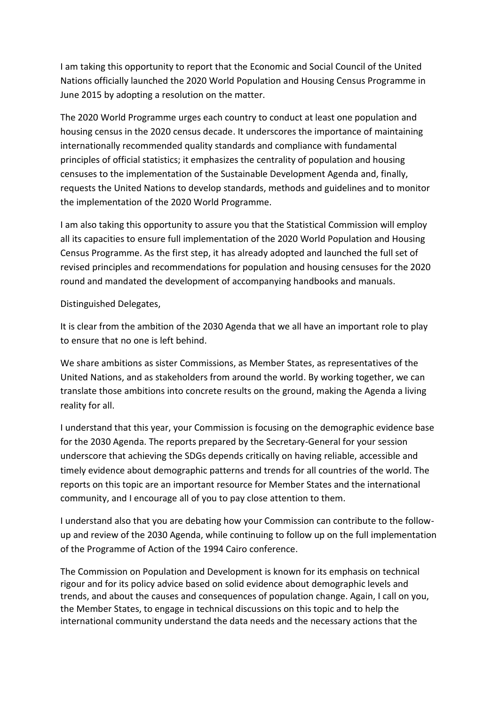I am taking this opportunity to report that the Economic and Social Council of the United Nations officially launched the 2020 World Population and Housing Census Programme in June 2015 by adopting a resolution on the matter.

The 2020 World Programme urges each country to conduct at least one population and housing census in the 2020 census decade. It underscores the importance of maintaining internationally recommended quality standards and compliance with fundamental principles of official statistics; it emphasizes the centrality of population and housing censuses to the implementation of the Sustainable Development Agenda and, finally, requests the United Nations to develop standards, methods and guidelines and to monitor the implementation of the 2020 World Programme.

I am also taking this opportunity to assure you that the Statistical Commission will employ all its capacities to ensure full implementation of the 2020 World Population and Housing Census Programme. As the first step, it has already adopted and launched the full set of revised principles and recommendations for population and housing censuses for the 2020 round and mandated the development of accompanying handbooks and manuals.

Distinguished Delegates,

It is clear from the ambition of the 2030 Agenda that we all have an important role to play to ensure that no one is left behind.

We share ambitions as sister Commissions, as Member States, as representatives of the United Nations, and as stakeholders from around the world. By working together, we can translate those ambitions into concrete results on the ground, making the Agenda a living reality for all.

I understand that this year, your Commission is focusing on the demographic evidence base for the 2030 Agenda. The reports prepared by the Secretary-General for your session underscore that achieving the SDGs depends critically on having reliable, accessible and timely evidence about demographic patterns and trends for all countries of the world. The reports on this topic are an important resource for Member States and the international community, and I encourage all of you to pay close attention to them.

I understand also that you are debating how your Commission can contribute to the followup and review of the 2030 Agenda, while continuing to follow up on the full implementation of the Programme of Action of the 1994 Cairo conference.

The Commission on Population and Development is known for its emphasis on technical rigour and for its policy advice based on solid evidence about demographic levels and trends, and about the causes and consequences of population change. Again, I call on you, the Member States, to engage in technical discussions on this topic and to help the international community understand the data needs and the necessary actions that the